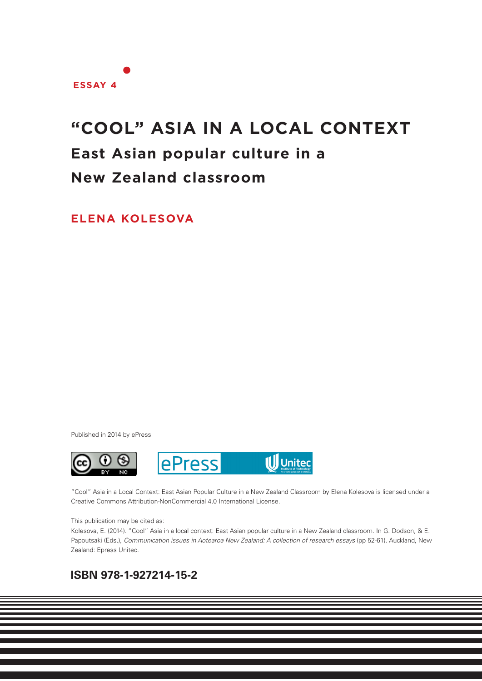

# **"COOL" ASIA IN A LOCAL CONTEXT**

## **East Asian popular culture in a**

## **New Zealand classroom**

**ELENA KOLESOVA**

Published in 2014 by ePress



"Cool" Asia in a Local Context: East Asian Popular Culture in a New Zealand Classroom by Elena Kolesova is licensed under a Creative Commons Attribution-NonCommercial 4.0 International License.

#### This publication may be cited as:

Kolesova, E. (2014). "Cool" Asia in a local context: East Asian popular culture in a New Zealand classroom. In G. Dodson, & E. Papoutsaki (Eds.), *Communication issues in Aotearoa New Zealand: A collection of research essays* (pp 52-61). Auckland, New Zealand: Epress Unitec.

**1**

### **ISBN 978-1-927214-15-2**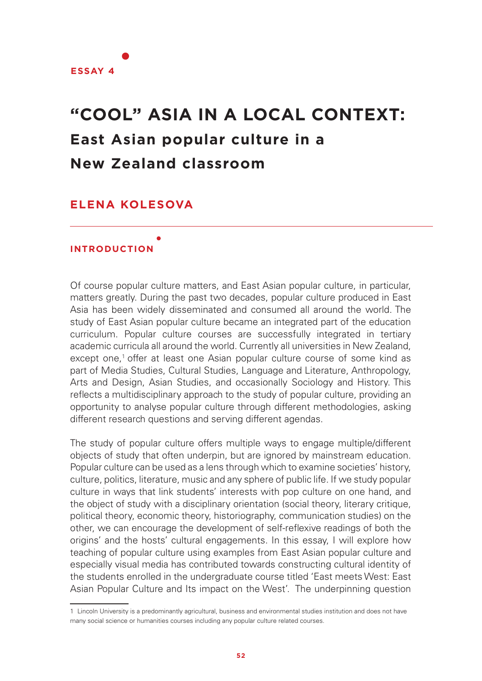

# **"COOL" ASIA IN A LOCAL CONTEXT: East Asian popular culture in a New Zealand classroom**

### **ELENA KOLESOVA**

#### **INTRODUCTION**

Of course popular culture matters, and East Asian popular culture, in particular, matters greatly. During the past two decades, popular culture produced in East Asia has been widely disseminated and consumed all around the world. The study of East Asian popular culture became an integrated part of the education curriculum. Popular culture courses are successfully integrated in tertiary academic curricula all around the world. Currently all universities in New Zealand, except one,<sup>1</sup> offer at least one Asian popular culture course of some kind as part of Media Studies, Cultural Studies, Language and Literature, Anthropology, Arts and Design, Asian Studies, and occasionally Sociology and History. This reflects a multidisciplinary approach to the study of popular culture, providing an opportunity to analyse popular culture through different methodologies, asking different research questions and serving different agendas.

The study of popular culture offers multiple ways to engage multiple/different objects of study that often underpin, but are ignored by mainstream education. Popular culture can be used as a lens through which to examine societies' history, culture, politics, literature, music and any sphere of public life. If we study popular culture in ways that link students' interests with pop culture on one hand, and the object of study with a disciplinary orientation (social theory, literary critique, political theory, economic theory, historiography, communication studies) on the other, we can encourage the development of self-reflexive readings of both the origins' and the hosts' cultural engagements. In this essay, I will explore how teaching of popular culture using examples from East Asian popular culture and especially visual media has contributed towards constructing cultural identity of the students enrolled in the undergraduate course titled 'East meets West: East Asian Popular Culture and Its impact on the West'. The underpinning question

<sup>1</sup> Lincoln University is a predominantly agricultural, business and environmental studies institution and does not have many social science or humanities courses including any popular culture related courses.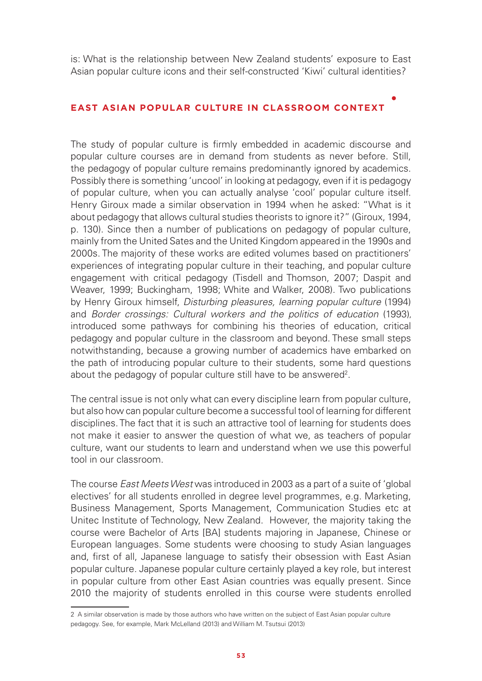is: What is the relationship between New Zealand students' exposure to East Asian popular culture icons and their self-constructed 'Kiwi' cultural identities?

#### **EAST ASIAN POPULAR CULTURE IN CLASSROOM CONTEXT**

The study of popular culture is firmly embedded in academic discourse and popular culture courses are in demand from students as never before. Still, the pedagogy of popular culture remains predominantly ignored by academics. Possibly there is something 'uncool' in looking at pedagogy, even if it is pedagogy of popular culture, when you can actually analyse 'cool' popular culture itself. Henry Giroux made a similar observation in 1994 when he asked: "What is it about pedagogy that allows cultural studies theorists to ignore it?" (Giroux, 1994, p. 130). Since then a number of publications on pedagogy of popular culture, mainly from the United Sates and the United Kingdom appeared in the 1990s and 2000s. The majority of these works are edited volumes based on practitioners' experiences of integrating popular culture in their teaching, and popular culture engagement with critical pedagogy (Tisdell and Thomson, 2007; Daspit and Weaver, 1999; Buckingham, 1998; White and Walker, 2008). Two publications by Henry Giroux himself, *Disturbing pleasures, learning popular culture* (1994) and *Border crossings: Cultural workers and the politics of education* (1993), introduced some pathways for combining his theories of education, critical pedagogy and popular culture in the classroom and beyond. These small steps notwithstanding, because a growing number of academics have embarked on the path of introducing popular culture to their students, some hard questions about the pedagogy of popular culture still have to be answered<sup>2</sup>.

The central issue is not only what can every discipline learn from popular culture, but also how can popular culture become a successful tool of learning for different disciplines. The fact that it is such an attractive tool of learning for students does not make it easier to answer the question of what we, as teachers of popular culture, want our students to learn and understand when we use this powerful tool in our classroom.

The course *East Meets West* was introduced in 2003 as a part of a suite of 'global electives' for all students enrolled in degree level programmes, e.g. Marketing, Business Management, Sports Management, Communication Studies etc at Unitec Institute of Technology, New Zealand. However, the majority taking the course were Bachelor of Arts [BA] students majoring in Japanese, Chinese or European languages. Some students were choosing to study Asian languages and, first of all, Japanese language to satisfy their obsession with East Asian popular culture. Japanese popular culture certainly played a key role, but interest in popular culture from other East Asian countries was equally present. Since 2010 the majority of students enrolled in this course were students enrolled

<sup>2</sup> A similar observation is made by those authors who have written on the subject of East Asian popular culture pedagogy. See, for example, Mark McLelland (2013) and William M. Tsutsui (2013)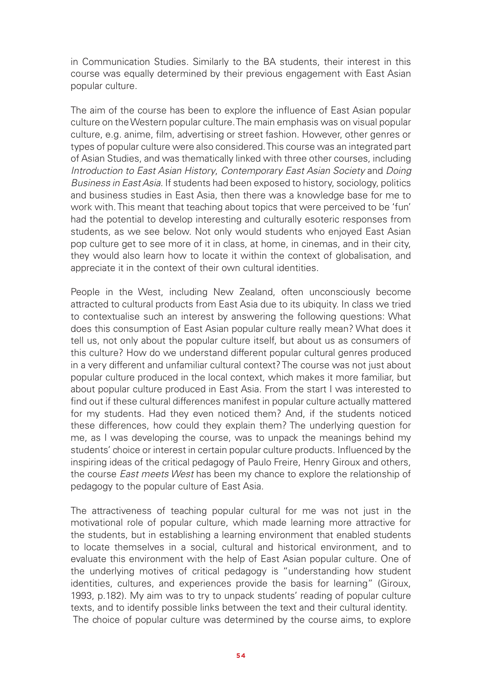in Communication Studies. Similarly to the BA students, their interest in this course was equally determined by their previous engagement with East Asian popular culture.

The aim of the course has been to explore the influence of East Asian popular culture on the Western popular culture. The main emphasis was on visual popular culture, e.g. anime, film, advertising or street fashion. However, other genres or types of popular culture were also considered. This course was an integrated part of Asian Studies, and was thematically linked with three other courses, including *Introduction to East Asian History*, *Contemporary East Asian Society* and *Doing Business in East Asia*. If students had been exposed to history, sociology, politics and business studies in East Asia, then there was a knowledge base for me to work with. This meant that teaching about topics that were perceived to be 'fun' had the potential to develop interesting and culturally esoteric responses from students, as we see below. Not only would students who enjoyed East Asian pop culture get to see more of it in class, at home, in cinemas, and in their city, they would also learn how to locate it within the context of globalisation, and appreciate it in the context of their own cultural identities.

People in the West, including New Zealand, often unconsciously become attracted to cultural products from East Asia due to its ubiquity. In class we tried to contextualise such an interest by answering the following questions: What does this consumption of East Asian popular culture really mean? What does it tell us, not only about the popular culture itself, but about us as consumers of this culture? How do we understand different popular cultural genres produced in a very different and unfamiliar cultural context? The course was not just about popular culture produced in the local context, which makes it more familiar, but about popular culture produced in East Asia. From the start I was interested to find out if these cultural differences manifest in popular culture actually mattered for my students. Had they even noticed them? And, if the students noticed these differences, how could they explain them? The underlying question for me, as I was developing the course, was to unpack the meanings behind my students' choice or interest in certain popular culture products. Influenced by the inspiring ideas of the critical pedagogy of Paulo Freire, Henry Giroux and others, the course *East meets West* has been my chance to explore the relationship of pedagogy to the popular culture of East Asia.

The attractiveness of teaching popular cultural for me was not just in the motivational role of popular culture, which made learning more attractive for the students, but in establishing a learning environment that enabled students to locate themselves in a social, cultural and historical environment, and to evaluate this environment with the help of East Asian popular culture. One of the underlying motives of critical pedagogy is "understanding how student identities, cultures, and experiences provide the basis for learning" (Giroux, 1993, p.182). My aim was to try to unpack students' reading of popular culture texts, and to identify possible links between the text and their cultural identity. The choice of popular culture was determined by the course aims, to explore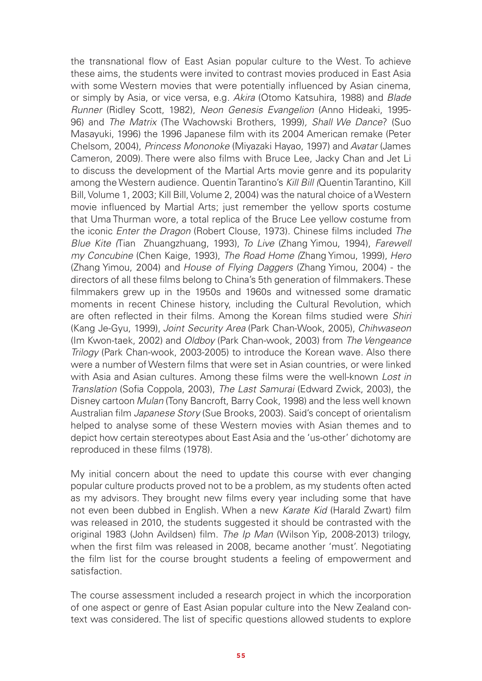the transnational flow of East Asian popular culture to the West. To achieve these aims, the students were invited to contrast movies produced in East Asia with some Western movies that were potentially influenced by Asian cinema, or simply by Asia, or vice versa, e.g. *Akira* (Otomo Katsuhira, 1988) and *Blade Runner* (Ridley Scott, 1982), *Neon Genesis Evangelion* (Anno Hideaki, 1995- 96) and *The Matrix* (The Wachowski Brothers, 1999)*, Shall We Dance*? (Suo Masayuki, 1996) the 1996 Japanese film with its 2004 American remake (Peter Chelsom, 2004), *Princess Mononoke* (Miyazaki Hayao, 1997) and *Avatar* (James Cameron, 2009). There were also films with Bruce Lee, Jacky Chan and Jet Li to discuss the development of the Martial Arts movie genre and its popularity among the Western audience. Quentin Tarantino's *Kill Bill (*Quentin Tarantino, Kill Bill, Volume 1, 2003; Kill Bill, Volume 2, 2004) was the natural choice of a Western movie influenced by Martial Arts; just remember the yellow sports costume that Uma Thurman wore, a total replica of the Bruce Lee yellow costume from the iconic *Enter the Dragon* (Robert Clouse, 1973). Chinese films included *The Blue Kite (*Tian Zhuangzhuang, 1993), *To Live* (Zhang Yimou, 1994), *Farewell my Concubine* (Chen Kaige, 1993), *The Road Home (*Zhang Yimou, 1999), *Hero*  (Zhang Yimou, 2004) and *House of Flying Daggers* (Zhang Yimou, 2004) - the directors of all these films belong to China's 5th generation of filmmakers. These filmmakers grew up in the 1950s and 1960s and witnessed some dramatic moments in recent Chinese history, including the Cultural Revolution, which are often reflected in their films. Among the Korean films studied were *Shiri* (Kang Je-Gyu, 1999), *Joint Security Area* (Park Chan-Wook, 2005), *Chihwaseon* (Im Kwon-taek, 2002) and *Oldboy* (Park Chan-wook, 2003) from *The Vengeance Trilogy* (Park Chan-wook, 2003-2005) to introduce the Korean wave. Also there were a number of Western films that were set in Asian countries, or were linked with Asia and Asian cultures. Among these films were the well-known *Lost in Translation* (Sofia Coppola, 2003), *The Last Samurai* (Edward Zwick, 2003), the Disney cartoon *Mulan* (Tony Bancroft, Barry Cook, 1998) and the less well known Australian film *Japanese Story* (Sue Brooks, 2003). Said's concept of orientalism helped to analyse some of these Western movies with Asian themes and to depict how certain stereotypes about East Asia and the 'us-other' dichotomy are reproduced in these films (1978).

My initial concern about the need to update this course with ever changing popular culture products proved not to be a problem, as my students often acted as my advisors. They brought new films every year including some that have not even been dubbed in English. When a new *Karate Kid* (Harald Zwart) film was released in 2010, the students suggested it should be contrasted with the original 1983 (John Avildsen) film. *The Ip Man* (Wilson Yip, 2008-2013) trilogy, when the first film was released in 2008, became another 'must'. Negotiating the film list for the course brought students a feeling of empowerment and satisfaction.

The course assessment included a research project in which the incorporation of one aspect or genre of East Asian popular culture into the New Zealand context was considered. The list of specific questions allowed students to explore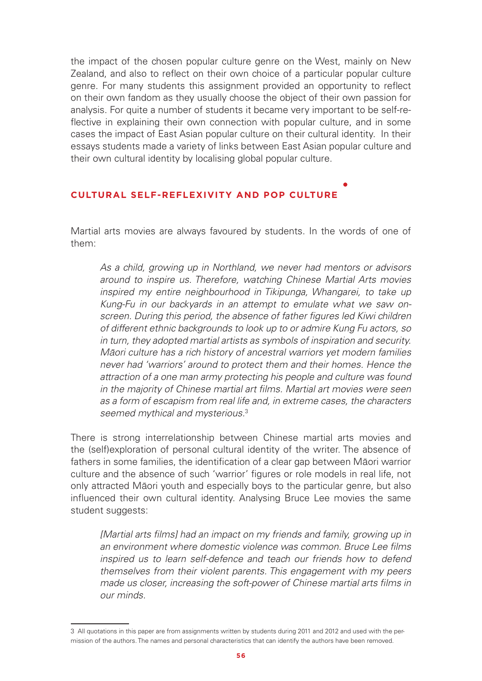the impact of the chosen popular culture genre on the West, mainly on New Zealand, and also to reflect on their own choice of a particular popular culture genre. For many students this assignment provided an opportunity to reflect on their own fandom as they usually choose the object of their own passion for analysis. For quite a number of students it became very important to be self-reflective in explaining their own connection with popular culture, and in some cases the impact of East Asian popular culture on their cultural identity. In their essays students made a variety of links between East Asian popular culture and their own cultural identity by localising global popular culture.

#### **CULTURAL SELF-REFLEXIVITY AND POP CULTURE**

Martial arts movies are always favoured by students. In the words of one of them:

*As a child, growing up in Northland, we never had mentors or advisors around to inspire us. Therefore, watching Chinese Martial Arts movies inspired my entire neighbourhood in Tikipunga, Whangarei, to take up Kung-Fu in our backyards in an attempt to emulate what we saw onscreen. During this period, the absence of father figures led Kiwi children of different ethnic backgrounds to look up to or admire Kung Fu actors, so in turn, they adopted martial artists as symbols of inspiration and security. M*ā*ori culture has a rich history of ancestral warriors yet modern families never had 'warriors' around to protect them and their homes. Hence the attraction of a one man army protecting his people and culture was found in the majority of Chinese martial art films. Martial art movies were seen as a form of escapism from real life and, in extreme cases, the characters seemed mythical and mysterious.*<sup>3</sup>

There is strong interrelationship between Chinese martial arts movies and the (self)exploration of personal cultural identity of the writer. The absence of fathers in some families, the identification of a clear gap between Māori warrior culture and the absence of such 'warrior' figures or role models in real life, not only attracted Māori youth and especially boys to the particular genre, but also influenced their own cultural identity. Analysing Bruce Lee movies the same student suggests:

*[Martial arts films] had an impact on my friends and family, growing up in an environment where domestic violence was common. Bruce Lee films inspired us to learn self-defence and teach our friends how to defend themselves from their violent parents. This engagement with my peers made us closer, increasing the soft-power of Chinese martial arts films in our minds.*

<sup>3</sup> All quotations in this paper are from assignments written by students during 2011 and 2012 and used with the permission of the authors. The names and personal characteristics that can identify the authors have been removed.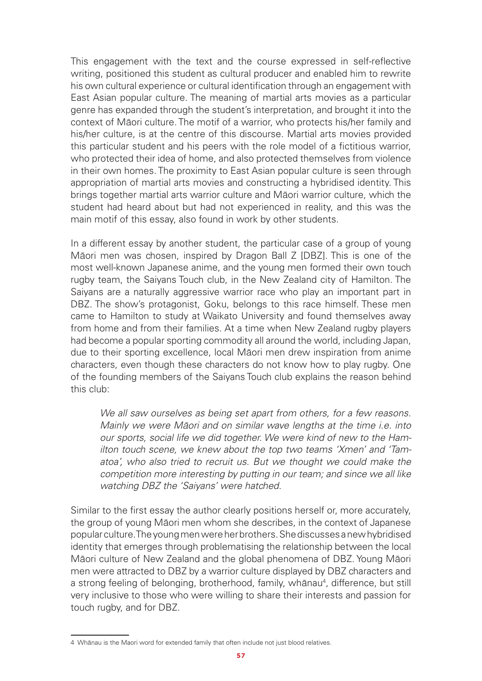This engagement with the text and the course expressed in self-reflective writing, positioned this student as cultural producer and enabled him to rewrite his own cultural experience or cultural identification through an engagement with East Asian popular culture. The meaning of martial arts movies as a particular genre has expanded through the student's interpretation, and brought it into the context of Māori culture. The motif of a warrior, who protects his/her family and his/her culture, is at the centre of this discourse. Martial arts movies provided this particular student and his peers with the role model of a fictitious warrior, who protected their idea of home, and also protected themselves from violence in their own homes. The proximity to East Asian popular culture is seen through appropriation of martial arts movies and constructing a hybridised identity. This brings together martial arts warrior culture and Māori warrior culture, which the student had heard about but had not experienced in reality, and this was the main motif of this essay, also found in work by other students.

In a different essay by another student, the particular case of a group of young Māori men was chosen, inspired by Dragon Ball Z [DBZ]. This is one of the most well-known Japanese anime, and the young men formed their own touch rugby team, the Saiyans Touch club, in the New Zealand city of Hamilton. The Saiyans are a naturally aggressive warrior race who play an important part in DBZ. The show's protagonist, Goku, belongs to this race himself. These men came to Hamilton to study at Waikato University and found themselves away from home and from their families. At a time when New Zealand rugby players had become a popular sporting commodity all around the world, including Japan, due to their sporting excellence, local Māori men drew inspiration from anime characters, even though these characters do not know how to play rugby. One of the founding members of the Saiyans Touch club explains the reason behind this club:

*We all saw ourselves as being set apart from others, for a few reasons. Mainly we were M*ā*ori and on similar wave lengths at the time i.e. into our sports, social life we did together. We were kind of new to the Hamilton touch scene, we knew about the top two teams 'Xmen' and 'Tamatoa', who also tried to recruit us. But we thought we could make the competition more interesting by putting in our team; and since we all like watching DBZ the 'Saiyans' were hatched.*

Similar to the first essay the author clearly positions herself or, more accurately, the group of young Māori men whom she describes, in the context of Japanese popular culture. The young men were her brothers. She discusses a new hybridised identity that emerges through problematising the relationship between the local Māori culture of New Zealand and the global phenomena of DBZ. Young Māori men were attracted to DBZ by a warrior culture displayed by DBZ characters and a strong feeling of belonging, brotherhood, family, whānau<sup>4</sup>, difference, but still very inclusive to those who were willing to share their interests and passion for touch rugby, and for DBZ.

<sup>4</sup> Whānau is the Maori word for extended family that often include not just blood relatives.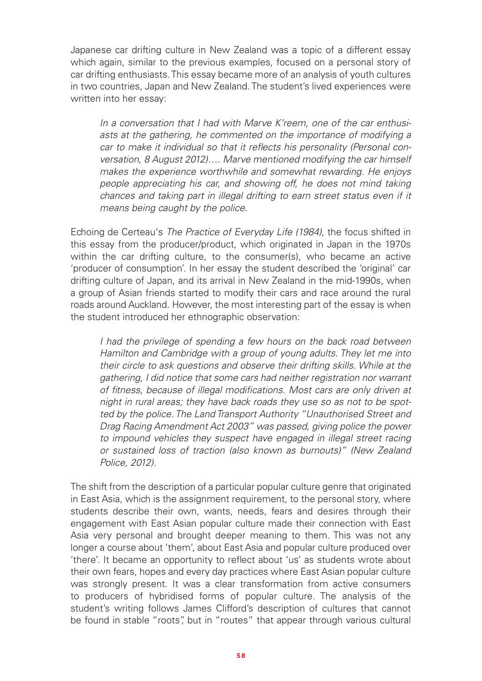Japanese car drifting culture in New Zealand was a topic of a different essay which again, similar to the previous examples, focused on a personal story of car drifting enthusiasts. This essay became more of an analysis of youth cultures in two countries, Japan and New Zealand. The student's lived experiences were written into her essay:

*In a conversation that I had with Marve K'reem, one of the car enthusiasts at the gathering, he commented on the importance of modifying a car to make it individual so that it reflects his personality (Personal conversation, 8 August 2012)…. Marve mentioned modifying the car himself makes the experience worthwhile and somewhat rewarding. He enjoys people appreciating his car, and showing off, he does not mind taking chances and taking part in illegal drifting to earn street status even if it means being caught by the police.*

Echoing de Certeau's *The Practice of Everyday Life (1984)*, the focus shifted in this essay from the producer/product, which originated in Japan in the 1970s within the car drifting culture, to the consumer(s), who became an active 'producer of consumption'. In her essay the student described the 'original' car drifting culture of Japan, and its arrival in New Zealand in the mid-1990s, when a group of Asian friends started to modify their cars and race around the rural roads around Auckland. However, the most interesting part of the essay is when the student introduced her ethnographic observation:

*I had the privilege of spending a few hours on the back road between Hamilton and Cambridge with a group of young adults. They let me into their circle to ask questions and observe their drifting skills. While at the gathering, I did notice that some cars had neither registration nor warrant of fitness, because of illegal modifications. Most cars are only driven at night in rural areas; they have back roads they use so as not to be spotted by the police. The Land Transport Authority "Unauthorised Street and Drag Racing Amendment Act 2003" was passed, giving police the power to impound vehicles they suspect have engaged in illegal street racing or sustained loss of traction (also known as burnouts)" (New Zealand Police, 2012).*

The shift from the description of a particular popular culture genre that originated in East Asia, which is the assignment requirement, to the personal story, where students describe their own, wants, needs, fears and desires through their engagement with East Asian popular culture made their connection with East Asia very personal and brought deeper meaning to them. This was not any longer a course about 'them', about East Asia and popular culture produced over 'there'. It became an opportunity to reflect about 'us' as students wrote about their own fears, hopes and every day practices where East Asian popular culture was strongly present. It was a clear transformation from active consumers to producers of hybridised forms of popular culture. The analysis of the student's writing follows James Clifford's description of cultures that cannot be found in stable "roots", but in "routes" that appear through various cultural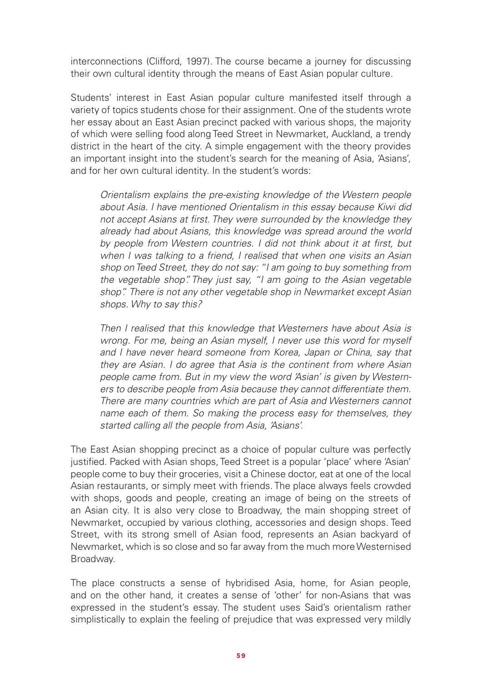interconnections (Clifford, 1997). The course became a journey for discussing their own cultural identity through the means of East Asian popular culture.

Students' interest in East Asian popular culture manifested itself through a variety of topics students chose for their assignment. One of the students wrote her essay about an East Asian precinct packed with various shops, the majority of which were selling food along Teed Street in Newmarket, Auckland, a trendy district in the heart of the city. A simple engagement with the theory provides an important insight into the student's search for the meaning of Asia, 'Asians', and for her own cultural identity. In the student's words:

*Orientalism explains the pre-existing knowledge of the Western people about Asia. I have mentioned Orientalism in this essay because Kiwi did not accept Asians at first. They were surrounded by the knowledge they already had about Asians, this knowledge was spread around the world by people from Western countries. I did not think about it at first, but when I was talking to a friend, I realised that when one visits an Asian shop on Teed Street, they do not say: "I am going to buy something from the vegetable shop". They just say, "I am going to the Asian vegetable shop". There is not any other vegetable shop in Newmarket except Asian shops. Why to say this?*

*Then I realised that this knowledge that Westerners have about Asia is wrong. For me, being an Asian myself, I never use this word for myself and I have never heard someone from Korea, Japan or China, say that they are Asian. I do agree that Asia is the continent from where Asian people came from. But in my view the word 'Asian' is given by Westerners to describe people from Asia because they cannot differentiate them. There are many countries which are part of Asia and Westerners cannot name each of them. So making the process easy for themselves, they started calling all the people from Asia, 'Asians'.* 

The East Asian shopping precinct as a choice of popular culture was perfectly justified. Packed with Asian shops, Teed Street is a popular 'place' where 'Asian' people come to buy their groceries, visit a Chinese doctor, eat at one of the local Asian restaurants, or simply meet with friends. The place always feels crowded with shops, goods and people, creating an image of being on the streets of an Asian city. It is also very close to Broadway, the main shopping street of Newmarket, occupied by various clothing, accessories and design shops. Teed Street, with its strong smell of Asian food, represents an Asian backyard of Newmarket, which is so close and so far away from the much more Westernised Broadway.

The place constructs a sense of hybridised Asia, home, for Asian people, and on the other hand, it creates a sense of 'other' for non-Asians that was expressed in the student's essay. The student uses Said's orientalism rather simplistically to explain the feeling of prejudice that was expressed very mildly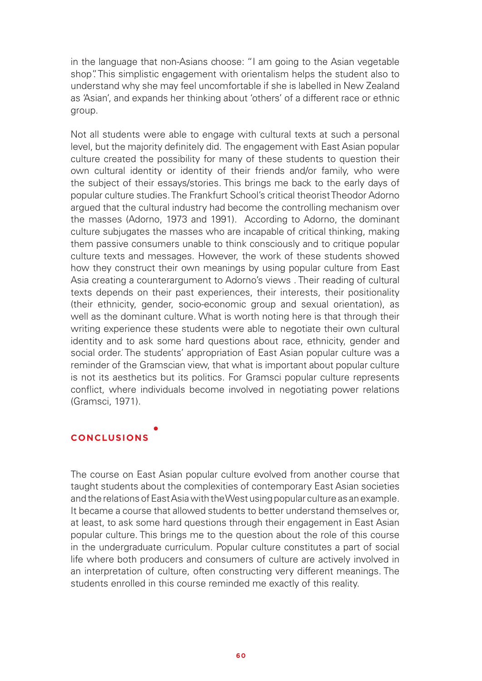in the language that non-Asians choose: "I am going to the Asian vegetable shop". This simplistic engagement with orientalism helps the student also to understand why she may feel uncomfortable if she is labelled in New Zealand as 'Asian', and expands her thinking about 'others' of a different race or ethnic group.

Not all students were able to engage with cultural texts at such a personal level, but the majority definitely did. The engagement with East Asian popular culture created the possibility for many of these students to question their own cultural identity or identity of their friends and/or family, who were the subject of their essays/stories. This brings me back to the early days of popular culture studies. The Frankfurt School's critical theorist Theodor Adorno argued that the cultural industry had become the controlling mechanism over the masses (Adorno, 1973 and 1991). According to Adorno, the dominant culture subjugates the masses who are incapable of critical thinking, making them passive consumers unable to think consciously and to critique popular culture texts and messages. However, the work of these students showed how they construct their own meanings by using popular culture from East Asia creating a counterargument to Adorno's views . Their reading of cultural texts depends on their past experiences, their interests, their positionality (their ethnicity, gender, socio-economic group and sexual orientation), as well as the dominant culture. What is worth noting here is that through their writing experience these students were able to negotiate their own cultural identity and to ask some hard questions about race, ethnicity, gender and social order. The students' appropriation of East Asian popular culture was a reminder of the Gramscian view, that what is important about popular culture is not its aesthetics but its politics. For Gramsci popular culture represents conflict, where individuals become involved in negotiating power relations (Gramsci, 1971).

### **CONCLUSIONS**

The course on East Asian popular culture evolved from another course that taught students about the complexities of contemporary East Asian societies and the relations of East Asia with the West using popular culture as an example. It became a course that allowed students to better understand themselves or, at least, to ask some hard questions through their engagement in East Asian popular culture. This brings me to the question about the role of this course in the undergraduate curriculum. Popular culture constitutes a part of social life where both producers and consumers of culture are actively involved in an interpretation of culture, often constructing very different meanings. The students enrolled in this course reminded me exactly of this reality.